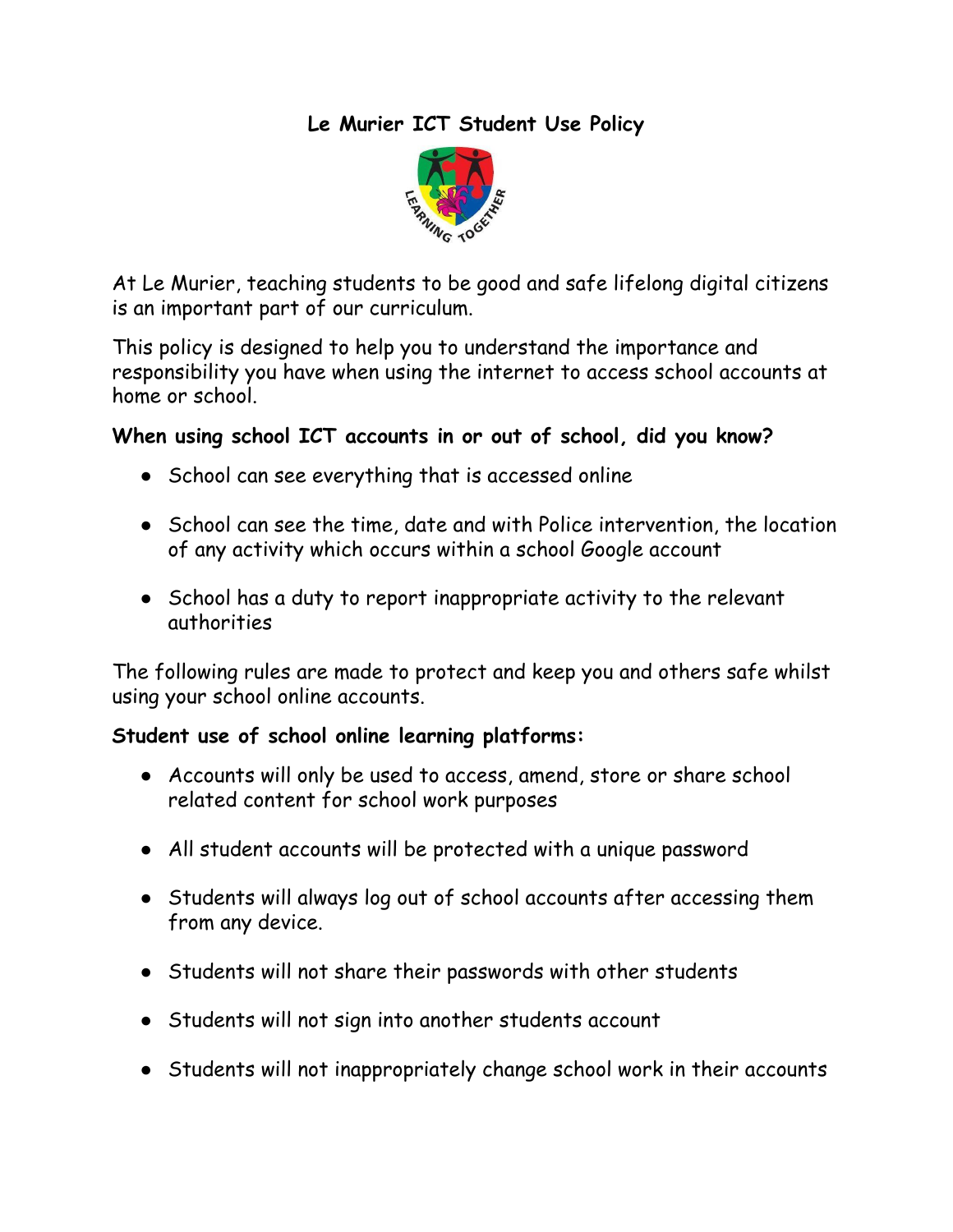# **Le Murier ICT Student Use Policy**



At Le Murier, teaching students to be good and safe lifelong digital citizens is an important part of our curriculum.

This policy is designed to help you to understand the importance and responsibility you have when using the internet to access school accounts at home or school.

## **When using school ICT accounts in or out of school, did you know?**

- School can see everything that is accessed online
- School can see the time, date and with Police intervention, the location of any activity which occurs within a school Google account
- School has a duty to report inappropriate activity to the relevant authorities

The following rules are made to protect and keep you and others safe whilst using your school online accounts.

## **Student use of school online learning platforms:**

- Accounts will only be used to access, amend, store or share school related content for school work purposes
- All student accounts will be protected with a unique password
- Students will always log out of school accounts after accessing them from any device.
- Students will not share their passwords with other students
- Students will not sign into another students account
- Students will not inappropriately change school work in their accounts